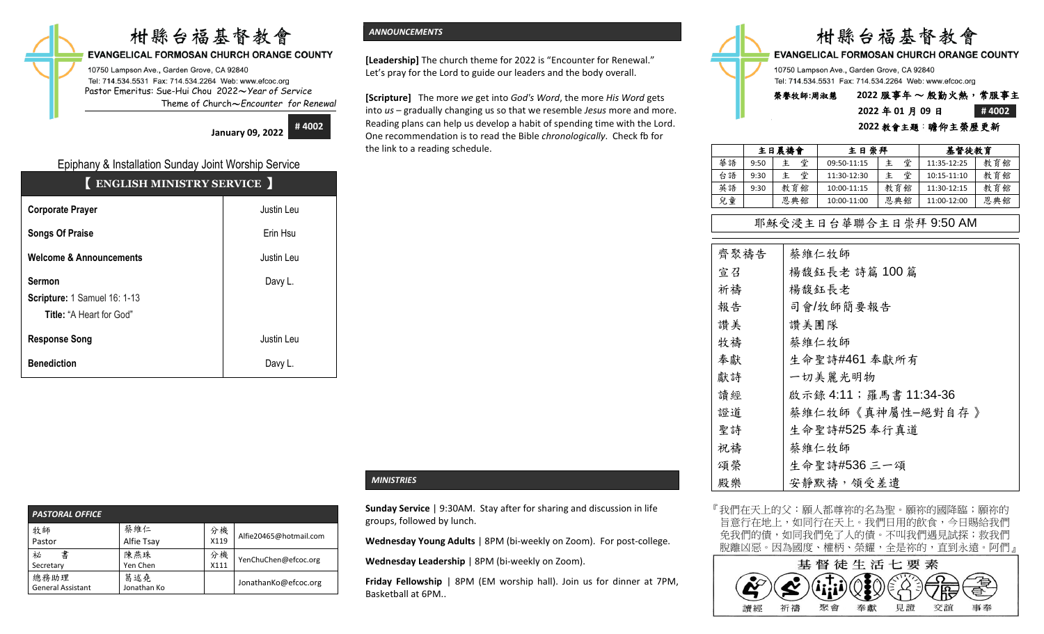# 柑縣台福基督教會

#### **EVANGELICAL FORMOSAN CHURCH ORANGE COUNTY**

10750 Lampson Ave., Garden Grove, CA 92840 Tel: 714.534.5531 Fax: 714.534.2264 Web: www.efcoc.org Pastor Emeritus: Sue-Hui Chou 2022〜*Year of Service* Theme of Church〜*Encounter for Renewal*

> **January 09, 2022 # 4002**

# Epiphany & Installation Sunday Joint Worship Service

| <b>ENGLISH MINISTRY SERVICE</b>                                                  |            |
|----------------------------------------------------------------------------------|------------|
| <b>Corporate Prayer</b>                                                          | Justin Leu |
| <b>Songs Of Praise</b>                                                           | Erin Hsu   |
| <b>Welcome &amp; Announcements</b>                                               | Justin Leu |
| <b>Sermon</b><br>Scripture: 1 Samuel 16: 1-13<br><b>Title: "A Heart for God"</b> | Davy L.    |
| <b>Response Song</b>                                                             | Justin Leu |
| <b>Benediction</b>                                                               | Davy L.    |

#### *PASTORAL OFFICE*  牧師 Pastor 蔡維仁 Alfie Tsay 分機 X119 Alfie20465@hotmail.com 祕 書 Secretary 陳燕珠 Yen Chen 分機  $\begin{array}{c} 27 \sqrt{111} \\ 111 \end{array}$  YenChuChen@efcoc.org 總務助理 General Assistant 葛述堯 匈処元<br>Jonathan Ko JonathanKo@efcoc.org

#### *ANNOUNCEMENTS*

**[Leadership]** The church theme for 2022 is "Encounter for Renewal." Let's pray for the Lord to guide our leaders and the body overall.

**[Scripture]** The more *we* get into *God's Word*, the more *His Word* gets into *us* – gradually changing us so that we resemble *Jesus* more and more. Reading plans can help us develop a habit of spending time with the Lord. One recommendation is to read the Bible *chronologically*. Check fb for the link to a reading schedule.



# **2022** 年 **01** 月 **09** 日 **# 4002 2022** 教會主題:瞻仰主榮歷更新

|    |      | 主日晨禱會  | 主日崇拜        |     | 基督徒教育       |     |
|----|------|--------|-------------|-----|-------------|-----|
| 華語 | 9:50 | 堂<br>主 | 09:50-11:15 | 堂   | 11:35-12:25 | 教育館 |
| 台語 | 9:30 | 堂<br>主 | 11:30-12:30 | 堂   | 10:15-11:10 | 教育館 |
| 英語 | 9:30 | 教育館    | 10:00-11:15 | 教育館 | 11:30-12:15 | 教育館 |
| 兒童 |      | 恩典館    | 10:00-11:00 | 恩典館 | 11:00-12:00 | 恩典館 |

# 耶穌受浸主日台華聯合主日崇拜 9:50 AM

| 齊聚禱告 | 蔡維仁牧師                 |
|------|-----------------------|
| 宣召   | 楊馥鈺長老 詩篇 100篇         |
| 祈禱   | 楊馥鈺長老                 |
| 報告   | 司會/牧師簡要報告             |
| 讚美   | 讚美團隊                  |
| 牧禱   | 蔡維仁牧師                 |
| 奉獻   | 生命聖詩#461 奉獻所有         |
| 獻詩   | 一切美麗光明物               |
| 讀經   | 啟示錄 4:11;羅馬書 11:34-36 |
| 證道   | 蔡維仁牧師《真神屬性-絕對自存》      |
| 聖詩   | 生命聖詩#525 奉行真道         |
| 祝禱   | 蔡維仁牧師                 |
| 頌榮   | 生命聖詩#536 三一頌          |
| 殿樂   | 安靜默禱, 領受差遣            |

『我們在天上的父:願人都尊祢的名為聖。願祢的國降臨;願祢的 旨意行在地上,如同行在天上。我們日用的飲食,今日賜給我們 免我們的債,如同我們免了人的債。不叫我們遇見試探;救我們 脫離凶惡。因為國度、權柄、榮耀,全是祢的,直到永遠。阿們』



#### *MINISTRIES*

**Sunday Service** | 9:30AM. Stay after for sharing and discussion in life groups, followed by lunch.

**Wednesday Young Adults** | 8PM (bi-weekly on Zoom). For post-college.

**Wednesday Leadership** | 8PM (bi-weekly on Zoom).

**Friday Fellowship** | 8PM (EM worship hall). Join us for dinner at 7PM, Basketball at 6PM..